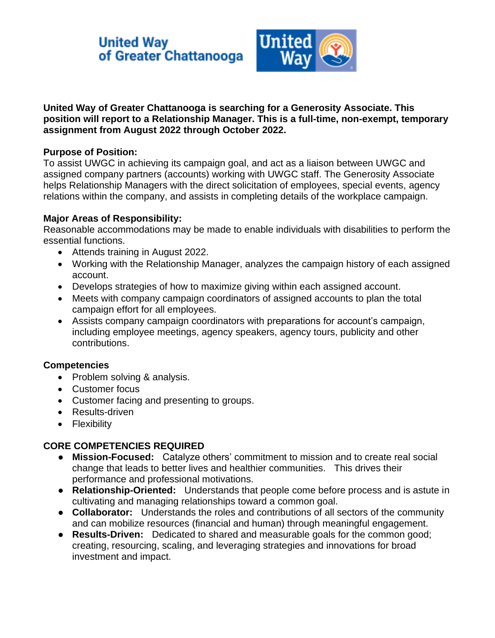# **United Way** of Greater Chattanooga



### **United Way of Greater Chattanooga is searching for a Generosity Associate. This position will report to a Relationship Manager. This is a full-time, non-exempt, temporary assignment from August 2022 through October 2022.**

## **Purpose of Position:**

To assist UWGC in achieving its campaign goal, and act as a liaison between UWGC and assigned company partners (accounts) working with UWGC staff. The Generosity Associate helps Relationship Managers with the direct solicitation of employees, special events, agency relations within the company, and assists in completing details of the workplace campaign.

### **Major Areas of Responsibility:**

Reasonable accommodations may be made to enable individuals with disabilities to perform the essential functions.

- Attends training in August 2022.
- Working with the Relationship Manager, analyzes the campaign history of each assigned account.
- Develops strategies of how to maximize giving within each assigned account.
- Meets with company campaign coordinators of assigned accounts to plan the total campaign effort for all employees.
- Assists company campaign coordinators with preparations for account's campaign, including employee meetings, agency speakers, agency tours, publicity and other contributions.

# **Competencies**

- Problem solving & analysis.
- Customer focus
- Customer facing and presenting to groups.
- Results-driven
- Flexibility

# **CORE COMPETENCIES REQUIRED**

- **Mission-Focused:** Catalyze others' commitment to mission and to create real social change that leads to better lives and healthier communities. This drives their performance and professional motivations.
- **Relationship-Oriented:** Understands that people come before process and is astute in cultivating and managing relationships toward a common goal.
- **Collaborator:** Understands the roles and contributions of all sectors of the community and can mobilize resources (financial and human) through meaningful engagement.
- **Results-Driven:** Dedicated to shared and measurable goals for the common good; creating, resourcing, scaling, and leveraging strategies and innovations for broad investment and impact.